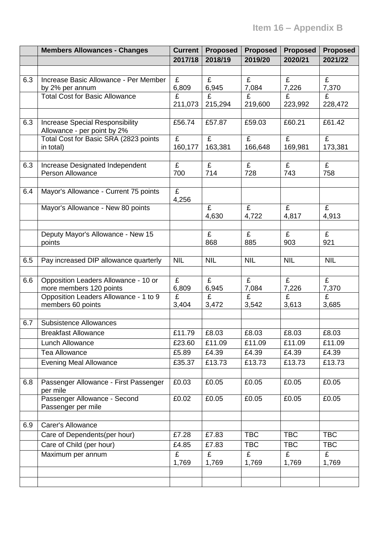|     | <b>Members Allowances - Changes</b>                 | <b>Current</b> | <b>Proposed</b> | <b>Proposed</b> | <b>Proposed</b> | <b>Proposed</b> |
|-----|-----------------------------------------------------|----------------|-----------------|-----------------|-----------------|-----------------|
|     |                                                     | 2017/18        | 2018/19         | 2019/20         | 2020/21         | 2021/22         |
|     |                                                     |                |                 |                 |                 |                 |
| 6.3 | Increase Basic Allowance - Per Member               | £              | £               | £               | £               | £               |
|     | by 2% per annum                                     | 6,809          | 6,945           | 7,084           | 7,226           | 7,370           |
|     | <b>Total Cost for Basic Allowance</b>               | £              | £               | £               | £               | £               |
|     |                                                     | 211,073        | 215,294         | 219,600         | 223,992         | 228,472         |
| 6.3 | <b>Increase Special Responsibility</b>              | £56.74         | £57.87          | £59.03          | £60.21          | £61.42          |
|     | Allowance - per point by 2%                         |                |                 |                 |                 |                 |
|     | Total Cost for Basic SRA (2823 points               | £              | $\overline{f}$  | £               | $\overline{f}$  | $\overline{f}$  |
|     | in total)                                           | 160,177        | 163,381         | 166,648         | 169,981         | 173,381         |
|     |                                                     |                |                 |                 |                 |                 |
| 6.3 | Increase Designated Independent<br>Person Allowance | £<br>700       | £<br>714        | £<br>728        | £<br>743        | £<br>758        |
|     |                                                     |                |                 |                 |                 |                 |
| 6.4 | Mayor's Allowance - Current 75 points               | £              |                 |                 |                 |                 |
|     |                                                     | 4,256          |                 |                 |                 |                 |
|     | Mayor's Allowance - New 80 points                   |                | £               | £               | £               | £               |
|     |                                                     |                | 4,630           | 4,722           | 4,817           | 4,913           |
|     |                                                     |                |                 |                 |                 |                 |
|     | Deputy Mayor's Allowance - New 15                   |                | £               | £               | £               | £               |
|     | points                                              |                | 868             | 885             | 903             | 921             |
| 6.5 | Pay increased DIP allowance quarterly               | <b>NIL</b>     | <b>NIL</b>      | <b>NIL</b>      | <b>NIL</b>      | <b>NIL</b>      |
|     |                                                     |                |                 |                 |                 |                 |
| 6.6 | Opposition Leaders Allowance - 10 or                | £              | £               | £               | £               | £               |
|     | more members 120 points                             | 6,809          | 6,945           | 7,084           | 7,226           | 7,370           |
|     | Opposition Leaders Allowance - 1 to 9               | £              | £               | £               | $\overline{f}$  | £               |
|     | members 60 points                                   | 3,404          | 3,472           | 3,542           | 3,613           | 3,685           |
|     |                                                     |                |                 |                 |                 |                 |
| 6.7 | <b>Subsistence Allowances</b>                       |                |                 |                 |                 |                 |
|     | <b>Breakfast Allowance</b>                          | £11.79         | £8.03           | £8.03           | £8.03           | £8.03           |
|     | Lunch Allowance                                     | £23.60         | £11.09          | £11.09          | £11.09          | £11.09          |
|     | <b>Tea Allowance</b>                                | £5.89          | £4.39           | £4.39           | £4.39           | £4.39           |
|     | Evening Meal Allowance                              | £35.37         | £13.73          | £13.73          | £13.73          | £13.73          |
|     |                                                     |                |                 |                 |                 |                 |
| 6.8 | Passenger Allowance - First Passenger<br>per mile   | £0.03          | £0.05           | £0.05           | £0.05           | £0.05           |
|     | Passenger Allowance - Second                        | £0.02          | £0.05           | £0.05           | £0.05           | £0.05           |
|     | Passenger per mile                                  |                |                 |                 |                 |                 |
|     |                                                     |                |                 |                 |                 |                 |
| 6.9 | Carer's Allowance                                   |                |                 |                 |                 |                 |
|     | Care of Dependents(per hour)                        | £7.28          | £7.83           | <b>TBC</b>      | <b>TBC</b>      | <b>TBC</b>      |
|     | Care of Child (per hour)                            | £4.85          | £7.83           | <b>TBC</b>      | <b>TBC</b>      | <b>TBC</b>      |
|     | Maximum per annum                                   | £              | £               | £               | £               | £               |
|     |                                                     | 1,769          | 1,769           | 1,769           | 1,769           | 1,769           |
|     |                                                     |                |                 |                 |                 |                 |
|     |                                                     |                |                 |                 |                 |                 |